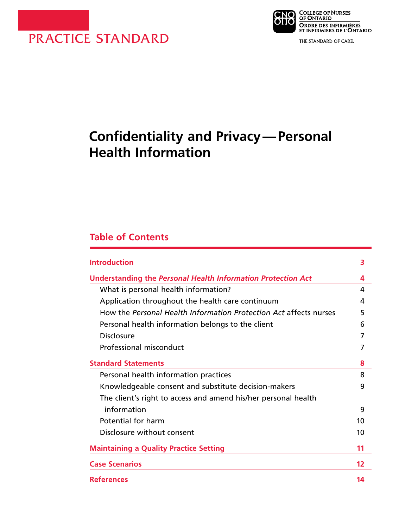



THE STANDARD OF CARE.

# **Confidentiality and Privacy—Personal Health Information**

# **Table of Contents**

| <b>Introduction</b>                                               | 3  |
|-------------------------------------------------------------------|----|
| Understanding the Personal Health Information Protection Act      | 4  |
| What is personal health information?                              | 4  |
| Application throughout the health care continuum                  | 4  |
| How the Personal Health Information Protection Act affects nurses | 5  |
| Personal health information belongs to the client                 | 6  |
| Disclosure                                                        |    |
| Professional misconduct                                           |    |
| <b>Standard Statements</b>                                        | 8  |
| Personal health information practices                             | 8  |
| Knowledgeable consent and substitute decision-makers              | 9  |
| The client's right to access and amend his/her personal health    |    |
| information                                                       | 9  |
| Potential for harm                                                | 10 |
| Disclosure without consent                                        | 10 |
| <b>Maintaining a Quality Practice Setting</b>                     | 11 |
| <b>Case Scenarios</b>                                             | 12 |
| <b>References</b>                                                 | 14 |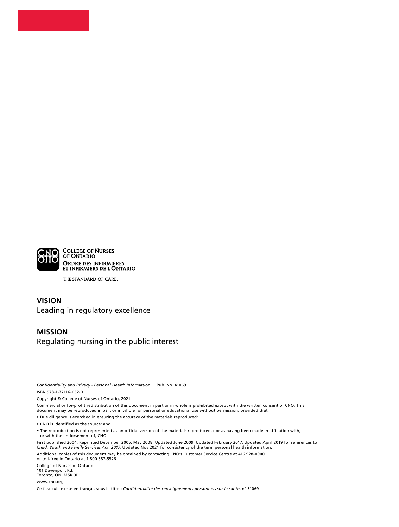

THE STANDARD OF CARE.

#### **VISION** Leading in regulatory excellence

#### **MISSION** Regulating nursing in the public interest

*Confidentiality and Privacy - Personal Health Information* Pub. No. 41069 ISBN 978-1-77116-052-0

Copyright © College of Nurses of Ontario, 2021.

Commercial or for-profit redistribution of this document in part or in whole is prohibited except with the written consent of CNO. This document may be reproduced in part or in whole for personal or educational use without permission, provided that:

• Due diligence is exercised in ensuring the accuracy of the materials reproduced;

• CNO is identified as the source; and

• The reproduction is not represented as an official version of the materials reproduced, nor as having been made in affiliation with, or with the endorsement of, CNO.

First published 2004, Reprinted December 2005, May 2008. Updated June 2009. Updated February 2017. Updated April 2019 for references to *Child, Youth and Family Services Act, 2017.* Updated Nov 2021 for consistency of the term personal health information.

Additional copies of this document may be obtained by contacting CNO's Customer Service Centre at 416 928-0900 or toll-free in Ontario at 1 800 387-5526.

College of Nurses of Ontario 101 Davenport Rd. Toronto, ON M5R 3P1

www.cno.org

Ce fascicule existe en français sous le titre : *Confidentialité des renseignements personnels sur la santé*, n° 51069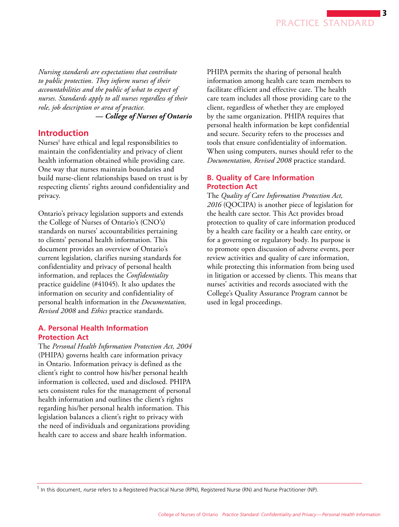*Nursing standards are expectations that contribute to public protection. They inform nurses of their accountabilities and the public of what to expect of nurses. Standards apply to all nurses regardless of their role, job description or area of practice.* 

*— College of Nurses of Ontario*

### **Introduction**

Nurses1 have ethical and legal responsibilities to maintain the confidentiality and privacy of client health information obtained while providing care. One way that nurses maintain boundaries and build nurse-client relationships based on trust is by respecting clients' rights around confidentiality and privacy.

Ontario's privacy legislation supports and extends the College of Nurses of Ontario's (CNO's) standards on nurses' accountabilities pertaining to clients' personal health information. This document provides an overview of Ontario's current legislation, clarifies nursing standards for confidentiality and privacy of personal health information, and replaces the *Confidentiality* practice guideline (#41045). It also updates the information on security and confidentiality of personal health information in the *Documentation, Revised 2008* and *Ethics* practice standards.

#### **A. Personal Health Information Protection Act**

The *Personal Health Information Protection Act, 2004*  (PHIPA) governs health care information privacy in Ontario. Information privacy is defined as the client's right to control how his/her personal health information is collected, used and disclosed. PHIPA sets consistent rules for the management of personal health information and outlines the client's rights regarding his/her personal health information. This legislation balances a client's right to privacy with the need of individuals and organizations providing health care to access and share health information.

PHIPA permits the sharing of personal health information among health care team members to facilitate efficient and effective care. The health care team includes all those providing care to the client, regardless of whether they are employed by the same organization. PHIPA requires that personal health information be kept confidential and secure. Security refers to the processes and tools that ensure confidentiality of information. When using computers, nurses should refer to the *Documentation, Revised 2008* practice standard.

#### **B. Quality of Care Information Protection Act**

The *Quality of Care Information Protection Act, 2016* (QOCIPA) is another piece of legislation for the health care sector. This Act provides broad protection to quality of care information produced by a health care facility or a health care entity, or for a governing or regulatory body. Its purpose is to promote open discussion of adverse events, peer review activities and quality of care information, while protecting this information from being used in litigation or accessed by clients. This means that nurses' activities and records associated with the College's Quality Assurance Program cannot be used in legal proceedings.

<sup>1</sup> In this document, *nurse* refers to a Registered Practical Nurse (RPN), Registered Nurse (RN) and Nurse Practitioner (NP).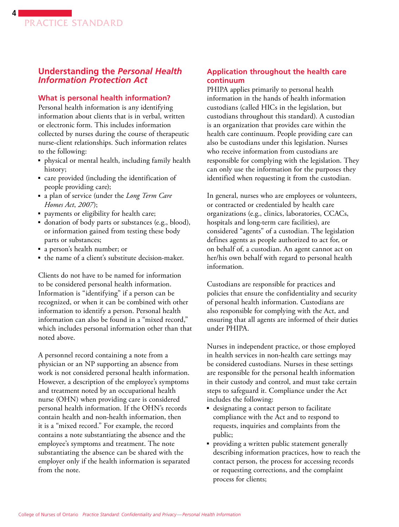### **Understanding the** *Personal Health Information Protection Act*

#### **What is personal health information?**

Personal health information is any identifying information about clients that is in verbal, written or electronic form. This includes information collected by nurses during the course of therapeutic nurse-client relationships. Such information relates to the following:

- physical or mental health, including family health history;
- care provided (including the identification of people providing care);
- a plan of service (under the *Long Term Care Homes Act*, *2007*);
- payments or eligibility for health care;
- donation of body parts or substances (e.g., blood), or information gained from testing these body parts or substances;
- a person's health number; or
- the name of a client's substitute decision-maker.

Clients do not have to be named for information to be considered personal health information. Information is "identifying" if a person can be recognized, or when it can be combined with other information to identify a person. Personal health information can also be found in a "mixed record," which includes personal information other than that noted above.

A personnel record containing a note from a physician or an NP supporting an absence from work is not considered personal health information. However, a description of the employee's symptoms and treatment noted by an occupational health nurse (OHN) when providing care is considered personal health information. If the OHN's records contain health and non-health information, then it is a "mixed record." For example, the record contains a note substantiating the absence and the employee's symptoms and treatment. The note substantiating the absence can be shared with the employer only if the health information is separated from the note.

#### **Application throughout the health care continuum**

PHIPA applies primarily to personal health information in the hands of health information custodians (called HICs in the legislation, but custodians throughout this standard). A custodian is an organization that provides care within the health care continuum. People providing care can also be custodians under this legislation. Nurses who receive information from custodians are responsible for complying with the legislation. They can only use the information for the purposes they identified when requesting it from the custodian.

In general, nurses who are employees or volunteers, or contracted or credentialed by health care organizations (e.g., clinics, laboratories, CCACs, hospitals and long-term care facilities), are considered "agents" of a custodian. The legislation defines agents as people authorized to act for, or on behalf of, a custodian. An agent cannot act on her/his own behalf with regard to personal health information.

Custodians are responsible for practices and policies that ensure the confidentiality and security of personal health information. Custodians are also responsible for complying with the Act, and ensuring that all agents are informed of their duties under PHIPA.

Nurses in independent practice, or those employed in health services in non-health care settings may be considered custodians. Nurses in these settings are responsible for the personal health information in their custody and control, and must take certain steps to safeguard it. Compliance under the Act includes the following:

- designating a contact person to facilitate compliance with the Act and to respond to requests, inquiries and complaints from the public;
- providing a written public statement generally describing information practices, how to reach the contact person, the process for accessing records or requesting corrections, and the complaint process for clients;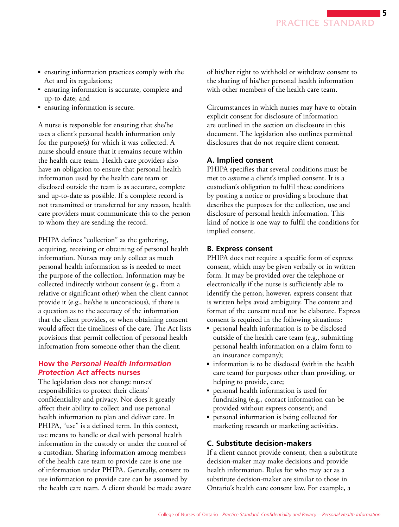- ensuring information practices comply with the Act and its regulations;
- ensuring information is accurate, complete and up-to-date; and
- ensuring information is secure.

A nurse is responsible for ensuring that she/he uses a client's personal health information only for the purpose(s) for which it was collected. A nurse should ensure that it remains secure within the health care team. Health care providers also have an obligation to ensure that personal health information used by the health care team or disclosed outside the team is as accurate, complete and up-to-date as possible. If a complete record is not transmitted or transferred for any reason, health care providers must communicate this to the person to whom they are sending the record.

PHIPA defines "collection" as the gathering, acquiring, receiving or obtaining of personal health information. Nurses may only collect as much personal health information as is needed to meet the purpose of the collection. Information may be collected indirectly without consent (e.g., from a relative or significant other) when the client cannot provide it (e.g., he/she is unconscious), if there is a question as to the accuracy of the information that the client provides, or when obtaining consent would affect the timeliness of the care. The Act lists provisions that permit collection of personal health information from someone other than the client.

#### **How the** *Personal Health Information Protection Act* **affects nurses**

The legislation does not change nurses' responsibilities to protect their clients' confidentiality and privacy. Nor does it greatly affect their ability to collect and use personal health information to plan and deliver care. In PHIPA, "use" is a defined term. In this context, use means to handle or deal with personal health information in the custody or under the control of a custodian. Sharing information among members of the health care team to provide care is one use of information under PHIPA. Generally, consent to use information to provide care can be assumed by the health care team. A client should be made aware of his/her right to withhold or withdraw consent to the sharing of his/her personal health information with other members of the health care team.

Circumstances in which nurses may have to obtain explicit consent for disclosure of information are outlined in the section on disclosure in this document. The legislation also outlines permitted disclosures that do not require client consent.

#### **A. Implied consent**

PHIPA specifies that several conditions must be met to assume a client's implied consent. It is a custodian's obligation to fulfil these conditions by posting a notice or providing a brochure that describes the purposes for the collection, use and disclosure of personal health information. This kind of notice is one way to fulfil the conditions for implied consent.

#### **B. Express consent**

PHIPA does not require a specific form of express consent, which may be given verbally or in written form. It may be provided over the telephone or electronically if the nurse is sufficiently able to identify the person; however, express consent that is written helps avoid ambiguity. The content and format of the consent need not be elaborate. Express consent is required in the following situations:

- personal health information is to be disclosed outside of the health care team (e.g., submitting personal health information on a claim form to an insurance company);
- information is to be disclosed (within the health care team) for purposes other than providing, or helping to provide, care;
- personal health information is used for fundraising (e.g., contact information can be provided without express consent); and
- personal information is being collected for marketing research or marketing activities.

#### **C. Substitute decision-makers**

If a client cannot provide consent, then a substitute decision-maker may make decisions and provide health information. Rules for who may act as a substitute decision-maker are similar to those in Ontario's health care consent law. For example, a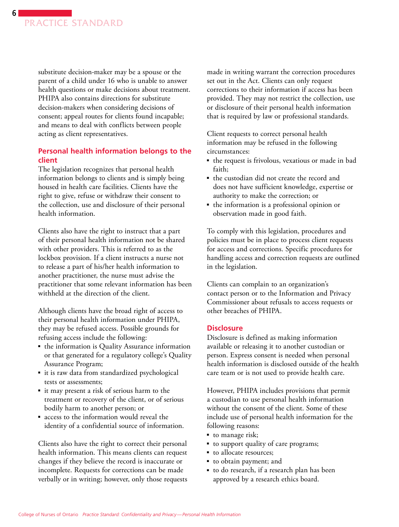substitute decision-maker may be a spouse or the parent of a child under 16 who is unable to answer health questions or make decisions about treatment. PHIPA also contains directions for substitute decision-makers when considering decisions of consent; appeal routes for clients found incapable; and means to deal with conflicts between people acting as client representatives.

#### **Personal health information belongs to the client**

The legislation recognizes that personal health information belongs to clients and is simply being housed in health care facilities. Clients have the right to give, refuse or withdraw their consent to the collection, use and disclosure of their personal health information.

Clients also have the right to instruct that a part of their personal health information not be shared with other providers. This is referred to as the lockbox provision. If a client instructs a nurse not to release a part of his/her health information to another practitioner, the nurse must advise the practitioner that some relevant information has been withheld at the direction of the client.

Although clients have the broad right of access to their personal health information under PHIPA, they may be refused access. Possible grounds for refusing access include the following:

- the information is Quality Assurance information or that generated for a regulatory college's Quality Assurance Program;
- it is raw data from standardized psychological tests or assessments;
- it may present a risk of serious harm to the treatment or recovery of the client, or of serious bodily harm to another person; or
- access to the information would reveal the identity of a confidential source of information.

Clients also have the right to correct their personal health information. This means clients can request changes if they believe the record is inaccurate or incomplete. Requests for corrections can be made verbally or in writing; however, only those requests made in writing warrant the correction procedures set out in the Act. Clients can only request corrections to their information if access has been provided. They may not restrict the collection, use or disclosure of their personal health information that is required by law or professional standards.

Client requests to correct personal health information may be refused in the following circumstances:

- the request is frivolous, vexatious or made in bad faith;
- the custodian did not create the record and does not have sufficient knowledge, expertise or authority to make the correction; or
- the information is a professional opinion or observation made in good faith.

To comply with this legislation, procedures and policies must be in place to process client requests for access and corrections. Specific procedures for handling access and correction requests are outlined in the legislation.

Clients can complain to an organization's contact person or to the Information and Privacy Commissioner about refusals to access requests or other breaches of PHIPA.

#### **Disclosure**

Disclosure is defined as making information available or releasing it to another custodian or person. Express consent is needed when personal health information is disclosed outside of the health care team or is not used to provide health care.

However, PHIPA includes provisions that permit a custodian to use personal health information without the consent of the client. Some of these include use of personal health information for the following reasons:

- to manage risk;
- to support quality of care programs;
- to allocate resources;
- to obtain payment; and
- to do research, if a research plan has been approved by a research ethics board.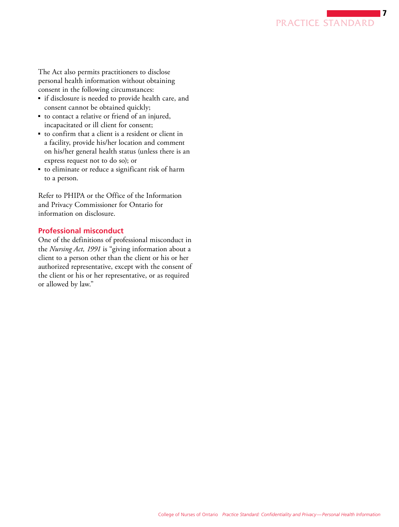

The Act also permits practitioners to disclose personal health information without obtaining consent in the following circumstances:

- if disclosure is needed to provide health care, and consent cannot be obtained quickly;
- to contact a relative or friend of an injured, incapacitated or ill client for consent;
- to confirm that a client is a resident or client in a facility, provide his/her location and comment on his/her general health status (unless there is an express request not to do so); or
- to eliminate or reduce a significant risk of harm to a person.

Refer to PHIPA or the Office of the Information and Privacy Commissioner for Ontario for information on disclosure.

#### **Professional misconduct**

One of the definitions of professional misconduct in the *Nursing Act, 1991* is "giving information about a client to a person other than the client or his or her authorized representative, except with the consent of the client or his or her representative, or as required or allowed by law."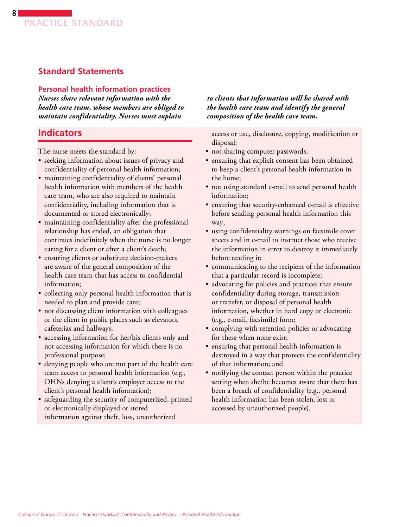# **Standard Statements**

#### **Personal health information practices**

*Nurses share relevant information with the health care team, whose members are obliged to maintain confidentiality. Nurses must explain* 

# **Indicators**

The nurse meets the standard by:

- seeking information about issues of privacy and confidentiality of personal health information;
- maintaining confidentiality of clients' personal health information with members of the health care team, who are also required to maintain confidentiality, including information that is documented or stored electronically;
- maintaining confidentiality after the professional relationship has ended, an obligation that continues indefinitely when the nurse is no longer caring for a client or after a client's death;
- ensuring clients or substitute decision-makers are aware of the general composition of the health care team that has access to confidential information;
- collecting only personal health information that is needed to plan and provide care;
- not discussing client information with colleagues or the client in public places such as elevators, cafeterias and hallways;
- accessing information for her/his clients only and not accessing information for which there is no professional purpose;
- denying people who are not part of the health care team access to personal health information (e.g., OHNs denying a client's employer access to the client's personal health information);
- safeguarding the security of computerized, printed or electronically displayed or stored information against theft, loss, unauthorized

*to clients that information will be shared with the health care team and identify the general composition of the health care team.* 

access or use, disclosure, copying, modification or disposal;

- not sharing computer passwords;
- ensuring that explicit consent has been obtained to keep a client's personal health information in the home;
- not using standard e-mail to send personal health information;
- ensuring that security-enhanced e-mail is effective before sending personal health information this way;
- using confidentiality warnings on facsimile cover sheets and in e-mail to instruct those who receive the information in error to destroy it immediately before reading it;
- communicating to the recipient of the information that a particular record is incomplete;
- advocating for policies and practices that ensure confidentiality during storage, transmission or transfer, or disposal of personal health information, whether in hard copy or electronic (e.g., e-mail, facsimile) form;
- complying with retention policies or advocating for these when none exist;
- ensuring that personal health information is destroyed in a way that protects the confidentiality of that information; and
- notifying the contact person within the practice setting when she/he becomes aware that there has been a breach of confidentiality (e.g., personal health information has been stolen, lost or accessed by unauthorized people).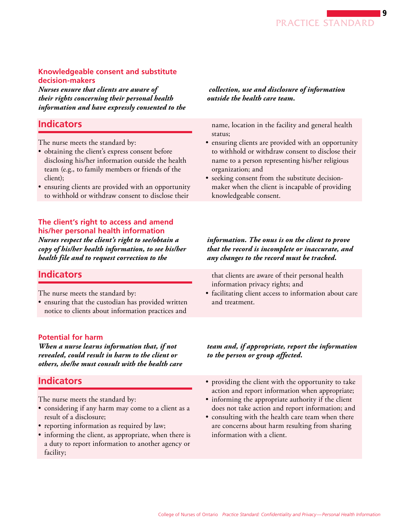### **Knowledgeable consent and substitute decision-makers**

*Nurses ensure that clients are aware of their rights concerning their personal health information and have expressly consented to the*

# **Indicators**

The nurse meets the standard by:

- obtaining the client's express consent before disclosing his/her information outside the health team (e.g., to family members or friends of the client);
- ensuring clients are provided with an opportunity to withhold or withdraw consent to disclose their

### **The client's right to access and amend his/her personal health information**

*Nurses respect the client's right to see/obtain a copy of his/her health information, to see his/her health file and to request correction to the* 

# **Indicators**

The nurse meets the standard by:

• ensuring that the custodian has provided written notice to clients about information practices and

### **Potential for harm**

*When a nurse learns information that, if not revealed, could result in harm to the client or others, she/he must consult with the health care* 

# **Indicators**

The nurse meets the standard by:

- considering if any harm may come to a client as a result of a disclosure;
- reporting information as required by law;
- informing the client, as appropriate, when there is a duty to report information to another agency or facility;

 *collection, use and disclosure of information outside the health care team.*

name, location in the facility and general health status;

- ensuring clients are provided with an opportunity to withhold or withdraw consent to disclose their name to a person representing his/her religious organization; and
- seeking consent from the substitute decisionmaker when the client is incapable of providing knowledgeable consent.

#### *information. The onus is on the client to prove that the record is incomplete or inaccurate, and any changes to the record must be tracked.*

that clients are aware of their personal health information privacy rights; and

• facilitating client access to information about care and treatment.

### *team and, if appropriate, report the information to the person or group affected.*

- providing the client with the opportunity to take action and report information when appropriate;
- informing the appropriate authority if the client does not take action and report information; and
- consulting with the health care team when there are concerns about harm resulting from sharing information with a client.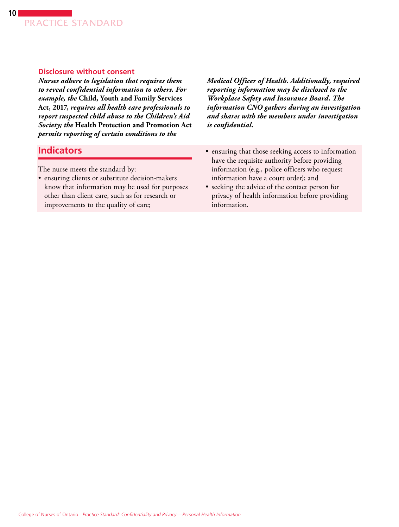#### **Disclosure without consent**

*Nurses adhere to legislation that requires them to reveal confidential information to others. For example, the* **Child, Youth and Family Services Act, 2017,** *requires all health care professionals to report suspected child abuse to the Children's Aid Society; the* **Health Protection and Promotion Act**  *permits reporting of certain conditions to the*

**Indicators**

The nurse meets the standard by:

• ensuring clients or substitute decision-makers know that information may be used for purposes other than client care, such as for research or improvements to the quality of care;

*Medical Officer of Health. Additionally, required reporting information may be disclosed to the Workplace Safety and Insurance Board. The information CNO gathers during an investigation and shares with the members under investigation is confidential.*

- ensuring that those seeking access to information have the requisite authority before providing information (e.g., police officers who request information have a court order); and
- seeking the advice of the contact person for privacy of health information before providing information.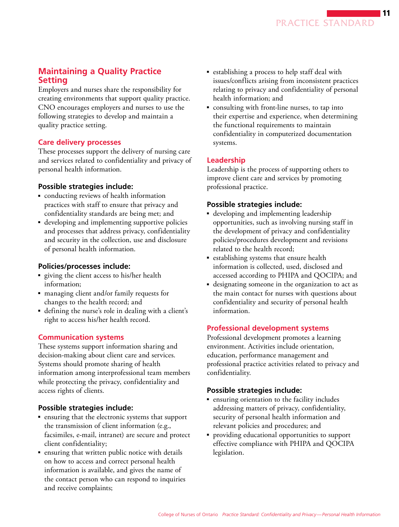# **Maintaining a Quality Practice Setting**

Employers and nurses share the responsibility for creating environments that support quality practice. CNO encourages employers and nurses to use the following strategies to develop and maintain a quality practice setting.

### **Care delivery processes**

These processes support the delivery of nursing care and services related to confidentiality and privacy of personal health information.

### **Possible strategies include:**

- conducting reviews of health information practices with staff to ensure that privacy and confidentiality standards are being met; and
- developing and implementing supportive policies and processes that address privacy, confidentiality and security in the collection, use and disclosure of personal health information.

# **Policies/processes include:**

- giving the client access to his/her health information;
- managing client and/or family requests for changes to the health record; and
- defining the nurse's role in dealing with a client's right to access his/her health record.

# **Communication systems**

These systems support information sharing and decision-making about client care and services. Systems should promote sharing of health information among interprofessional team members while protecting the privacy, confidentiality and access rights of clients.

# **Possible strategies include:**

- ensuring that the electronic systems that support the transmission of client information (e.g., facsimiles, e-mail, intranet) are secure and protect client confidentiality;
- ensuring that written public notice with details on how to access and correct personal health information is available, and gives the name of the contact person who can respond to inquiries and receive complaints;
- establishing a process to help staff deal with issues/conflicts arising from inconsistent practices relating to privacy and confidentiality of personal health information; and
- consulting with front-line nurses, to tap into their expertise and experience, when determining the functional requirements to maintain confidentiality in computerized documentation systems.

# **Leadership**

Leadership is the process of supporting others to improve client care and services by promoting professional practice.

# **Possible strategies include:**

- developing and implementing leadership opportunities, such as involving nursing staff in the development of privacy and confidentiality policies/procedures development and revisions related to the health record;
- establishing systems that ensure health information is collected, used, disclosed and accessed according to PHIPA and QOCIPA; and
- designating someone in the organization to act as the main contact for nurses with questions about confidentiality and security of personal health information.

# **Professional development systems**

Professional development promotes a learning environment. Activities include orientation, education, performance management and professional practice activities related to privacy and confidentiality.

# **Possible strategies include:**

- ensuring orientation to the facility includes addressing matters of privacy, confidentiality, security of personal health information and relevant policies and procedures; and
- providing educational opportunities to support effective compliance with PHIPA and QOCIPA legislation.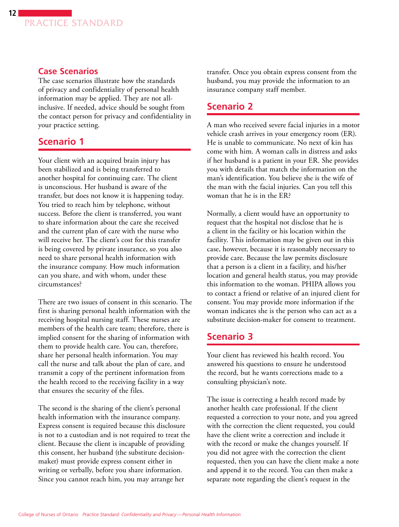### **Case Scenarios**

The case scenarios illustrate how the standards of privacy and confidentiality of personal health information may be applied. They are not allinclusive. If needed, advice should be sought from the contact person for privacy and confidentiality in your practice setting.

# **Scenario 1**

Your client with an acquired brain injury has been stabilized and is being transferred to another hospital for continuing care. The client is unconscious. Her husband is aware of the transfer, but does not know it is happening today. You tried to reach him by telephone, without success. Before the client is transferred, you want to share information about the care she received and the current plan of care with the nurse who will receive her. The client's cost for this transfer is being covered by private insurance, so you also need to share personal health information with the insurance company. How much information can you share, and with whom, under these circumstances?

There are two issues of consent in this scenario. The first is sharing personal health information with the receiving hospital nursing staff. These nurses are members of the health care team; therefore, there is implied consent for the sharing of information with them to provide health care. You can, therefore, share her personal health information. You may call the nurse and talk about the plan of care, and transmit a copy of the pertinent information from the health record to the receiving facility in a way that ensures the security of the files.

The second is the sharing of the client's personal health information with the insurance company. Express consent is required because this disclosure is not to a custodian and is not required to treat the client. Because the client is incapable of providing this consent, her husband (the substitute decisionmaker) must provide express consent either in writing or verbally, before you share information. Since you cannot reach him, you may arrange her

transfer. Once you obtain express consent from the husband, you may provide the information to an insurance company staff member.

# **Scenario 2**

A man who received severe facial injuries in a motor vehicle crash arrives in your emergency room (ER). He is unable to communicate. No next of kin has come with him. A woman calls in distress and asks if her husband is a patient in your ER. She provides you with details that match the information on the man's identification. You believe she is the wife of the man with the facial injuries. Can you tell this woman that he is in the ER?

Normally, a client would have an opportunity to request that the hospital not disclose that he is a client in the facility or his location within the facility. This information may be given out in this case, however, because it is reasonably necessary to provide care. Because the law permits disclosure that a person is a client in a facility, and his/her location and general health status, you may provide this information to the woman. PHIPA allows you to contact a friend or relative of an injured client for consent. You may provide more information if the woman indicates she is the person who can act as a substitute decision-maker for consent to treatment.

### **Scenario 3**

Your client has reviewed his health record. You answered his questions to ensure he understood the record, but he wants corrections made to a consulting physician's note.

The issue is correcting a health record made by another health care professional. If the client requested a correction to your note, and you agreed with the correction the client requested, you could have the client write a correction and include it with the record or make the changes yourself. If you did not agree with the correction the client requested, then you can have the client make a note and append it to the record. You can then make a separate note regarding the client's request in the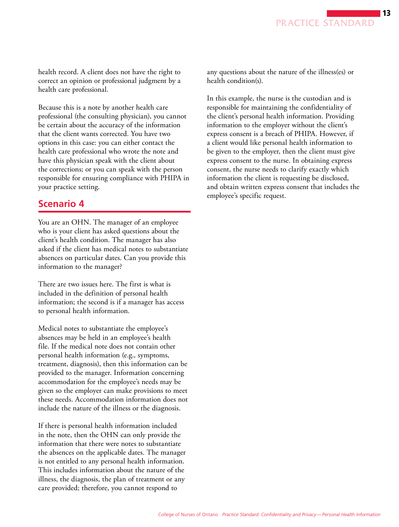health record. A client does not have the right to correct an opinion or professional judgment by a health care professional.

Because this is a note by another health care professional (the consulting physician), you cannot be certain about the accuracy of the information that the client wants corrected. You have two options in this case: you can either contact the health care professional who wrote the note and have this physician speak with the client about the corrections; or you can speak with the person responsible for ensuring compliance with PHIPA in your practice setting.

# **Scenario 4**

You are an OHN. The manager of an employee who is your client has asked questions about the client's health condition. The manager has also asked if the client has medical notes to substantiate absences on particular dates. Can you provide this information to the manager?

There are two issues here. The first is what is included in the definition of personal health information; the second is if a manager has access to personal health information.

Medical notes to substantiate the employee's absences may be held in an employee's health file. If the medical note does not contain other personal health information (e.g., symptoms, treatment, diagnosis), then this information can be provided to the manager. Information concerning accommodation for the employee's needs may be given so the employer can make provisions to meet these needs. Accommodation information does not include the nature of the illness or the diagnosis.

If there is personal health information included in the note, then the OHN can only provide the information that there were notes to substantiate the absences on the applicable dates. The manager is not entitled to any personal health information. This includes information about the nature of the illness, the diagnosis, the plan of treatment or any care provided; therefore, you cannot respond to

any questions about the nature of the illness(es) or health condition(s).

In this example, the nurse is the custodian and is responsible for maintaining the confidentiality of the client's personal health information. Providing information to the employer without the client's express consent is a breach of PHIPA. However, if a client would like personal health information to be given to the employer, then the client must give express consent to the nurse. In obtaining express consent, the nurse needs to clarify exactly which information the client is requesting be disclosed, and obtain written express consent that includes the employee's specific request.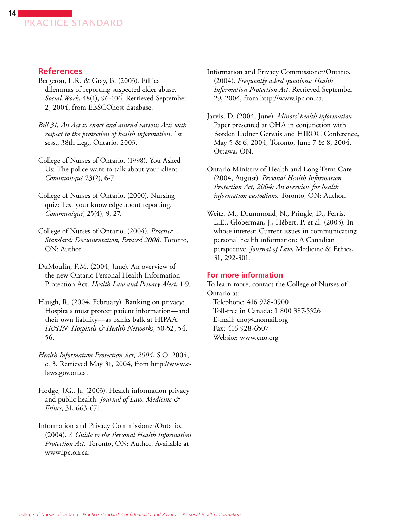

### **References**

- Bergeron, L.R. & Gray, B. (2003). Ethical dilemmas of reporting suspected elder abuse. *Social Work*, 48(1), 96-106. Retrieved September 2, 2004, from EBSCOhost database.
- *Bill 31, An Act to enact and amend various Acts with respect to the protection of health information*, 1st sess., 38th Leg., Ontario, 2003.
- College of Nurses of Ontario. (1998). You Asked Us: The police want to talk about your client. *Communiqué* 23(2), 6-7.
- College of Nurses of Ontario. (2000). Nursing quiz: Test your knowledge about reporting. *Communiqué*, 25(4), 9, 27.
- College of Nurses of Ontario. (2004). *Practice Standard: Documentation, Revised 2008*. Toronto, ON: Author.
- DuMoulin, F.M. (2004, June). An overview of the new Ontario Personal Health Information Protection Act. *Health Law and Privacy Alert*, 1-9.
- Haugh, R. (2004, February). Banking on privacy: Hospitals must protect patient information—and their own liability—as banks balk at HIPAA. *H&HN: Hospitals & Health Networks*, 50-52, 54, 56.
- *Health Information Protection Act*, *2004*, S.O. 2004, c. 3. Retrieved May 31, 2004, from http://www.elaws.gov.on.ca.
- Hodge, J.G., Jr. (2003). Health information privacy and public health. *Journal of Law, Medicine & Ethics*, 31, 663-671.
- Information and Privacy Commissioner/Ontario. (2004). *A Guide to the Personal Health Information Protection Act*. Toronto, ON: Author. Available at www.ipc.on.ca.
- Information and Privacy Commissioner/Ontario. (2004). *Frequently asked questions: Health Information Protection Act*. Retrieved September 29, 2004, from http://www.ipc.on.ca.
- Jarvis, D. (2004, June). *Minors' health information*. Paper presented at OHA in conjunction with Borden Ladner Gervais and HIROC Conference, May 5 & 6, 2004, Toronto, June 7 & 8, 2004, Ottawa, ON.
- Ontario Ministry of Health and Long-Term Care. (2004, August). *Personal Health Information Protection Act, 2004: An overview for health information custodians*. Toronto, ON: Author.
- Weitz, M., Drummond, N., Pringle, D., Ferris, L.E., Globerman, J., Hébert, P. et al. (2003). In whose interest: Current issues in communicating personal health information: A Canadian perspective. *Journal of Law*, Medicine & Ethics, 31, 292-301.

#### **For more information**

To learn more, contact the College of Nurses of Ontario at: Telephone: 416 928-0900 Toll-free in Canada: 1 800 387-5526 E-mail: cno@cnomail.org Fax: 416 928-6507 Website: www.cno.org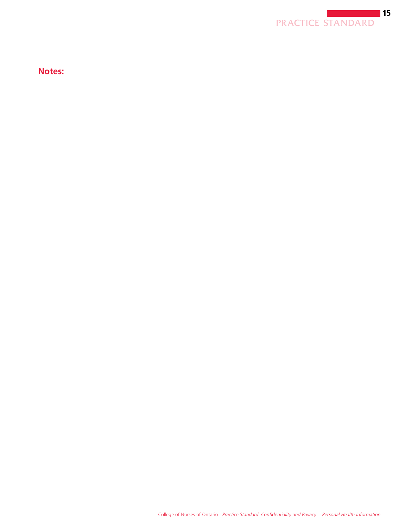

**Notes:**